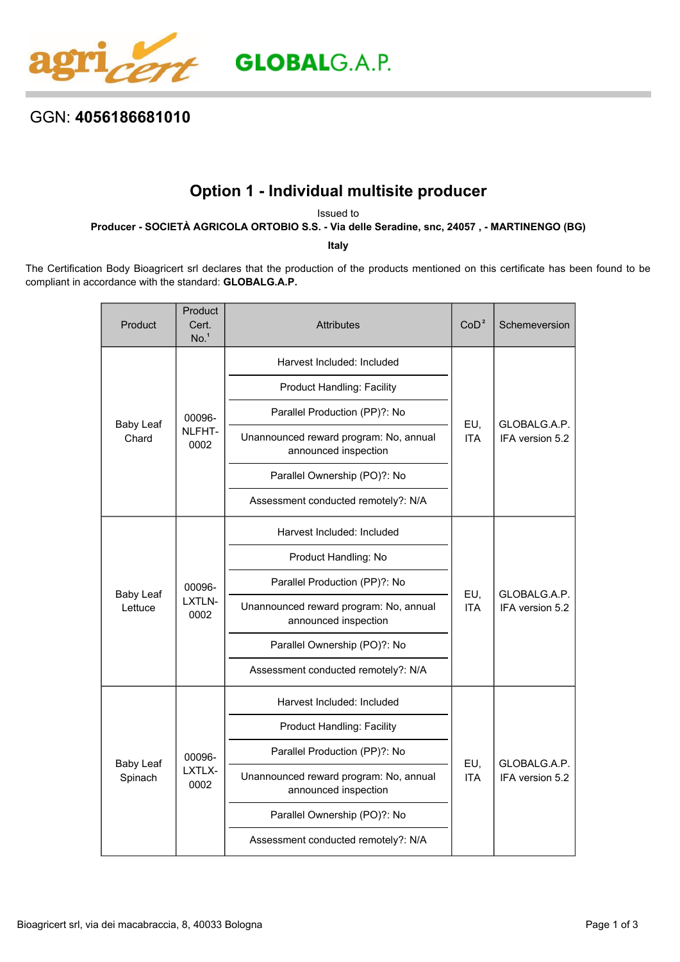

## GGN: **4056186681010**

## **Option 1 - Individual multisite producer**

Issued to

**Producer - SOCIETÀ AGRICOLA ORTOBIO S.S. - Via delle Seradine, snc, 24057 , - MARTINENGO (BG)**

**Italy**

The Certification Body Bioagricert srl declares that the production of the products mentioned on this certificate has been found to be compliant in accordance with the standard: **GLOBALG.A.P.**

| Product                     | Product<br>Cert.<br>No. <sup>1</sup> | <b>Attributes</b>                                              | CoD <sup>2</sup>  | Schemeversion                   |
|-----------------------------|--------------------------------------|----------------------------------------------------------------|-------------------|---------------------------------|
| <b>Baby Leaf</b><br>Chard   | 00096-<br>NLFHT-<br>0002             | Harvest Included: Included                                     | EU,<br><b>ITA</b> | GLOBALG.A.P.<br>IFA version 5.2 |
|                             |                                      | <b>Product Handling: Facility</b>                              |                   |                                 |
|                             |                                      | Parallel Production (PP)?: No                                  |                   |                                 |
|                             |                                      | Unannounced reward program: No, annual<br>announced inspection |                   |                                 |
|                             |                                      | Parallel Ownership (PO)?: No                                   |                   |                                 |
|                             |                                      | Assessment conducted remotely?: N/A                            |                   |                                 |
| <b>Baby Leaf</b><br>Lettuce | 00096-<br>LXTLN-<br>0002             | Harvest Included: Included                                     | EU,<br><b>ITA</b> | GLOBALG.A.P.<br>IFA version 5.2 |
|                             |                                      | Product Handling: No                                           |                   |                                 |
|                             |                                      | Parallel Production (PP)?: No                                  |                   |                                 |
|                             |                                      | Unannounced reward program: No, annual<br>announced inspection |                   |                                 |
|                             |                                      | Parallel Ownership (PO)?: No                                   |                   |                                 |
|                             |                                      | Assessment conducted remotely?: N/A                            |                   |                                 |
| <b>Baby Leaf</b><br>Spinach | 00096-<br>LXTLX-<br>0002             | Harvest Included: Included                                     | EU,<br><b>ITA</b> | GLOBALG.A.P.<br>IFA version 5.2 |
|                             |                                      | <b>Product Handling: Facility</b>                              |                   |                                 |
|                             |                                      | Parallel Production (PP)?: No                                  |                   |                                 |
|                             |                                      | Unannounced reward program: No, annual<br>announced inspection |                   |                                 |
|                             |                                      | Parallel Ownership (PO)?: No                                   |                   |                                 |
|                             |                                      | Assessment conducted remotely?: N/A                            |                   |                                 |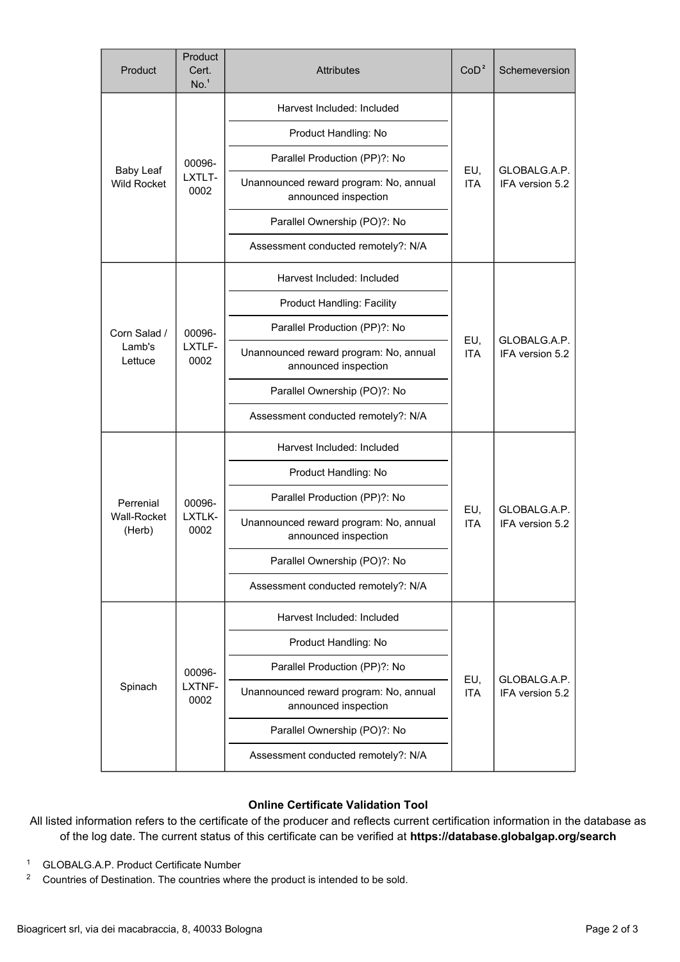| Product                                | Product<br>Cert.<br>No. <sup>1</sup> | <b>Attributes</b>                                              | CoD <sup>2</sup>  | Schemeversion                   |
|----------------------------------------|--------------------------------------|----------------------------------------------------------------|-------------------|---------------------------------|
| <b>Baby Leaf</b><br><b>Wild Rocket</b> | 00096-<br>LXTLT-<br>0002             | Harvest Included: Included                                     | EU,<br><b>ITA</b> | GLOBALG.A.P.<br>IFA version 5.2 |
|                                        |                                      | Product Handling: No                                           |                   |                                 |
|                                        |                                      | Parallel Production (PP)?: No                                  |                   |                                 |
|                                        |                                      | Unannounced reward program: No, annual<br>announced inspection |                   |                                 |
|                                        |                                      | Parallel Ownership (PO)?: No                                   |                   |                                 |
|                                        |                                      | Assessment conducted remotely?: N/A                            |                   |                                 |
| Corn Salad /<br>Lamb's<br>Lettuce      | 00096-<br>LXTLF-<br>0002             | Harvest Included: Included                                     | EU,<br><b>ITA</b> | GLOBALG.A.P.<br>IFA version 5.2 |
|                                        |                                      | <b>Product Handling: Facility</b>                              |                   |                                 |
|                                        |                                      | Parallel Production (PP)?: No                                  |                   |                                 |
|                                        |                                      | Unannounced reward program: No, annual<br>announced inspection |                   |                                 |
|                                        |                                      | Parallel Ownership (PO)?: No                                   |                   |                                 |
|                                        |                                      | Assessment conducted remotely?: N/A                            |                   |                                 |
| Perrenial<br>Wall-Rocket<br>(Herb)     | 00096-<br>LXTLK-<br>0002             | Harvest Included: Included                                     | EU,<br><b>ITA</b> | GLOBALG.A.P.<br>IFA version 5.2 |
|                                        |                                      | Product Handling: No                                           |                   |                                 |
|                                        |                                      | Parallel Production (PP)?: No                                  |                   |                                 |
|                                        |                                      | Unannounced reward program: No, annual<br>announced inspection |                   |                                 |
|                                        |                                      | Parallel Ownership (PO)?: No                                   |                   |                                 |
|                                        |                                      | Assessment conducted remotely?: N/A                            |                   |                                 |
| Spinach                                | 00096-<br>LXTNF-<br>0002             | Harvest Included: Included                                     | EU,<br><b>ITA</b> | GLOBALG.A.P.<br>IFA version 5.2 |
|                                        |                                      | Product Handling: No                                           |                   |                                 |
|                                        |                                      | Parallel Production (PP)?: No                                  |                   |                                 |
|                                        |                                      | Unannounced reward program: No, annual<br>announced inspection |                   |                                 |
|                                        |                                      | Parallel Ownership (PO)?: No                                   |                   |                                 |
|                                        |                                      | Assessment conducted remotely?: N/A                            |                   |                                 |

## **Online Certificate Validation Tool**

All listed information refers to the certificate of the producer and reflects current certification information in the database as of the log date. The current status of this certificate can be verified at **[https://database.globalgap.org/search](https://database.globalgap.org/globalgap/search/SearchMain.faces)**

- <sup>1</sup> GLOBALG.A.P. Product Certificate Number
- <sup>2</sup> Countries of Destination. The countries where the product is intended to be sold.